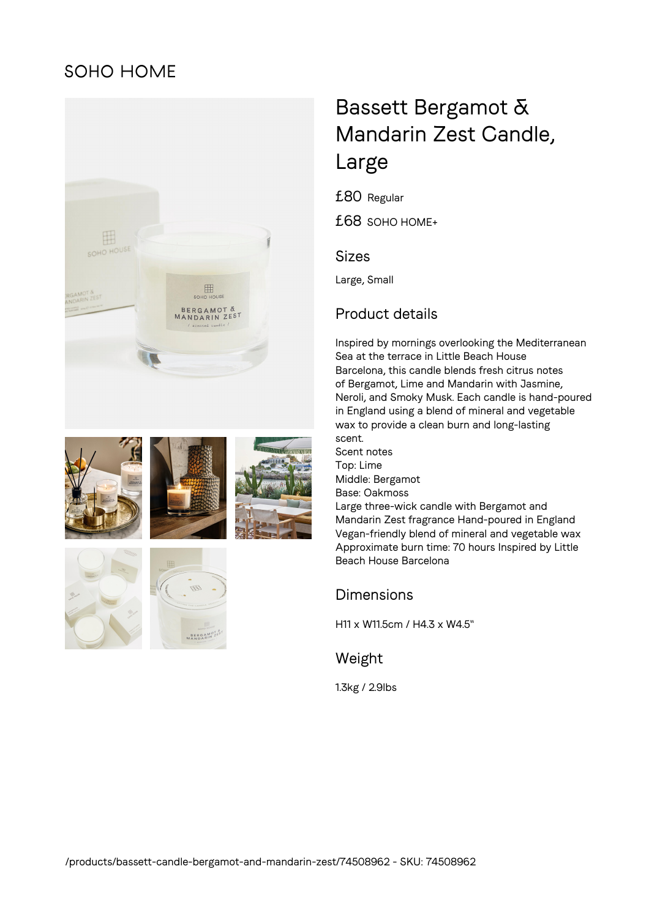## **SOHO HOME**













# Bassett Bergamot & Mandarin Zest Candle, Large

£80 Regular

£68 SOHO HOME+

## Sizes

Large, Small

## Product details

Inspired by mornings overlooking the Mediterranean Sea at the terrace in Little Beach House Barcelona, this candle blends fresh citrus notes of Bergamot, Lime and Mandarin with Jasmine, Neroli, and Smoky Musk. Each candle is hand-poured in England using a blend of mineral and vegetable wax to provide a clean burn and long-lasting scent. Scent notes Top: Lime Middle: Bergamot Base: Oakmoss Large three-wick candle with Bergamot and Mandarin Zest fragrance Hand-poured in England

Vegan-friendly blend of mineral and vegetable wax Approximate burn time: 70 hours Inspired by Little Beach House Barcelona

## Dimensions

H11 x W11.5cm / H4.3 x W4.5"

## Weight

1.3kg / 2.9lbs